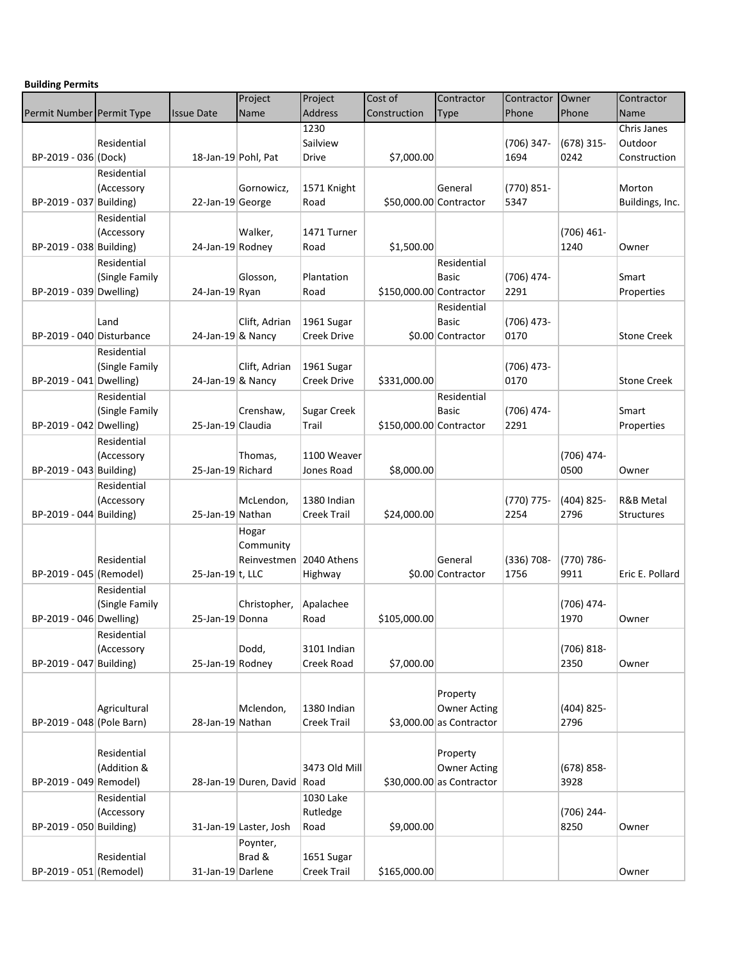| <b>Building Permits</b> |  |
|-------------------------|--|
|-------------------------|--|

|                           |                |                        | Project                 | Project            | Cost of                 | Contractor                | Contractor    | Owner         | Contractor           |
|---------------------------|----------------|------------------------|-------------------------|--------------------|-------------------------|---------------------------|---------------|---------------|----------------------|
| Permit Number Permit Type |                | <b>Issue Date</b>      | Name                    | <b>Address</b>     | Construction            | <b>Type</b>               | Phone         | Phone         | Name                 |
|                           |                |                        |                         | 1230               |                         |                           |               |               | Chris Janes          |
|                           | Residential    |                        |                         | Sailview           |                         |                           | $(706)$ 347-  | $(678)$ 315-  | Outdoor              |
| BP-2019 - 036 (Dock)      |                | 18-Jan-19 Pohl, Pat    |                         | Drive              | \$7,000.00              |                           | 1694          | 0242          | Construction         |
|                           | Residential    |                        |                         |                    |                         |                           |               |               |                      |
|                           | (Accessory     |                        | Gornowicz,              | 1571 Knight        |                         | General                   | (770) 851-    |               | Morton               |
| BP-2019 - 037 Building)   |                | 22-Jan-19 George       |                         | Road               | \$50,000.00 Contractor  |                           | 5347          |               | Buildings, Inc.      |
|                           | Residential    |                        |                         |                    |                         |                           |               |               |                      |
|                           | (Accessory     |                        | Walker,                 | 1471 Turner        |                         |                           |               | $(706)$ 461-  |                      |
| BP-2019 - 038 Building)   |                | 24-Jan-19 Rodney       |                         | Road               | \$1,500.00              |                           |               | 1240          | Owner                |
|                           | Residential    |                        |                         |                    |                         | Residential               |               |               |                      |
|                           | (Single Family |                        | Glosson,                | Plantation         |                         | <b>Basic</b>              | (706) 474-    |               | Smart                |
| BP-2019 - 039 Dwelling)   |                | 24-Jan-19 Ryan         |                         | Road               | \$150,000.00 Contractor |                           | 2291          |               | Properties           |
|                           |                |                        |                         |                    |                         | Residential               |               |               |                      |
|                           | Land           |                        | Clift, Adrian           | 1961 Sugar         |                         | <b>Basic</b>              | $(706)$ 473-  |               |                      |
| BP-2019 - 040 Disturbance |                | 24-Jan-19 & Nancy      |                         | <b>Creek Drive</b> |                         | \$0.00 Contractor         | 0170          |               | <b>Stone Creek</b>   |
|                           | Residential    |                        |                         |                    |                         |                           |               |               |                      |
|                           | (Single Family |                        | Clift, Adrian           | 1961 Sugar         |                         |                           | $(706)$ 473-  |               |                      |
| BP-2019 - 041 Dwelling)   |                | $24$ -Jan-19 $8$ Nancy |                         | <b>Creek Drive</b> | \$331,000.00            |                           | 0170          |               | <b>Stone Creek</b>   |
|                           | Residential    |                        |                         |                    |                         | Residential               |               |               |                      |
|                           | (Single Family |                        | Crenshaw,               | <b>Sugar Creek</b> |                         | <b>Basic</b>              | (706) 474-    |               | Smart                |
| BP-2019 - 042 Dwelling)   |                | 25-Jan-19 Claudia      |                         | Trail              | \$150,000.00 Contractor |                           | 2291          |               | Properties           |
|                           | Residential    |                        |                         |                    |                         |                           |               |               |                      |
|                           | (Accessory     |                        | Thomas,                 | 1100 Weaver        |                         |                           |               | (706) 474-    |                      |
| BP-2019 - 043 Building)   |                | 25-Jan-19 Richard      |                         | Jones Road         | \$8,000.00              |                           |               | 0500          | Owner                |
|                           | Residential    |                        |                         |                    |                         |                           |               |               |                      |
|                           | (Accessory     |                        | McLendon,               | 1380 Indian        |                         |                           | (770) 775-    | $(404)$ 825-  | <b>R&amp;B Metal</b> |
| BP-2019 - 044 Building)   |                | 25-Jan-19 Nathan       |                         | <b>Creek Trail</b> | \$24,000.00             |                           | 2254          | 2796          | <b>Structures</b>    |
|                           |                |                        | Hogar                   |                    |                         |                           |               |               |                      |
|                           |                |                        | Community               |                    |                         |                           |               |               |                      |
|                           | Residential    |                        | Reinvestmen 2040 Athens |                    |                         | General                   | $(336) 708 -$ | (770) 786-    |                      |
| BP-2019 - 045 (Remodel)   |                | 25-Jan-19 $ t$ , LLC   |                         | Highway            |                         | \$0.00 Contractor         | 1756          | 9911          | Eric E. Pollard      |
|                           | Residential    |                        |                         |                    |                         |                           |               |               |                      |
|                           | (Single Family |                        | Christopher,            | Apalachee          |                         |                           |               | (706) 474-    |                      |
| BP-2019 - 046 Dwelling)   |                | 25-Jan-19 Donna        |                         | Road               | \$105,000.00            |                           |               | 1970          | Owner                |
|                           | Residential    |                        |                         |                    |                         |                           |               |               |                      |
|                           | (Accessory     |                        | Dodd,                   | 3101 Indian        |                         |                           |               | $(706) 818 -$ |                      |
| BP-2019 - 047 Building)   |                | 25-Jan-19 Rodney       |                         | <b>Creek Road</b>  | \$7,000.00              |                           |               | 2350          | Owner                |
|                           |                |                        |                         |                    |                         |                           |               |               |                      |
|                           |                |                        |                         |                    |                         | Property                  |               |               |                      |
|                           | Agricultural   |                        | Mclendon,               | 1380 Indian        |                         | <b>Owner Acting</b>       |               | $(404)$ 825-  |                      |
| BP-2019 - 048 (Pole Barn) |                | 28-Jan-19 Nathan       |                         | <b>Creek Trail</b> |                         | $$3,000.00$ as Contractor |               | 2796          |                      |
|                           |                |                        |                         |                    |                         |                           |               |               |                      |
|                           | Residential    |                        |                         |                    |                         | Property                  |               |               |                      |
|                           | (Addition &    |                        |                         | 3473 Old Mill      |                         | <b>Owner Acting</b>       |               | $(678) 858 -$ |                      |
| BP-2019 - 049 Remodel)    |                |                        | 28-Jan-19 Duren, David  | Road               |                         | \$30,000.00 as Contractor |               | 3928          |                      |
|                           | Residential    |                        |                         | 1030 Lake          |                         |                           |               |               |                      |
|                           | (Accessory     |                        |                         | Rutledge           |                         |                           |               | (706) 244-    |                      |
| BP-2019 - 050 Building)   |                |                        | 31-Jan-19 Laster, Josh  | Road               | \$9,000.00              |                           |               | 8250          | Owner                |
|                           |                |                        | Poynter,                |                    |                         |                           |               |               |                      |
|                           | Residential    |                        | Brad &                  | 1651 Sugar         |                         |                           |               |               |                      |
| BP-2019 - 051 (Remodel)   |                | 31-Jan-19 Darlene      |                         | <b>Creek Trail</b> | \$165,000.00            |                           |               |               | Owner                |
|                           |                |                        |                         |                    |                         |                           |               |               |                      |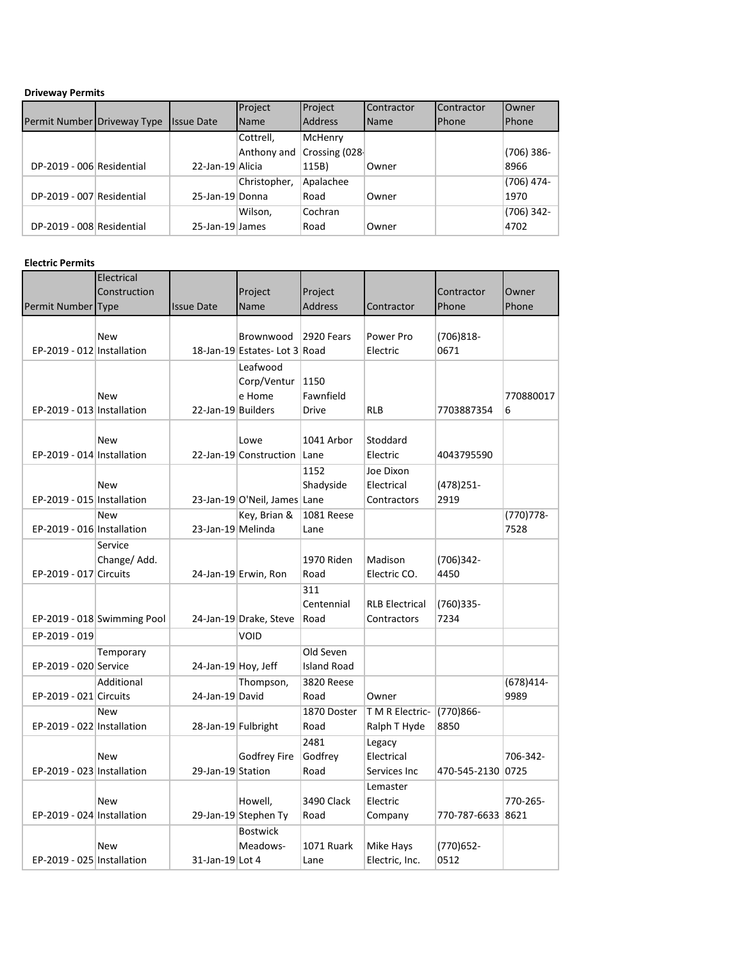#### **Driveway Permits**

|                             |                   | Project      | Project        | Contractor | Contractor | <b>Owner</b> |
|-----------------------------|-------------------|--------------|----------------|------------|------------|--------------|
| Permit Number Driveway Type | <b>Issue Date</b> | <b>Name</b>  | <b>Address</b> | Name       | Phone      | <b>Phone</b> |
|                             |                   | Cottrell,    | McHenry        |            |            |              |
|                             |                   | Anthony and  | Crossing (028) |            |            | $(706)$ 386- |
| DP-2019 - 006 Residential   | 22-Jan-19 Alicia  |              | 115B)          | Owner      |            | 8966         |
|                             |                   | Christopher, | Apalachee      |            |            | $(706)$ 474- |
| DP-2019 - 007 Residential   | 25-Jan-19 Donna   |              | Road           | Owner      |            | 1970         |
|                             |                   | Wilson,      | Cochran        |            |            | $(706)$ 342- |
| DP-2019 - 008 Residential   | 25-Jan-19 James   |              | Road           | Owner      |            | 4702         |

### **Electric Permits**

| Permit Number Type         | Electrical<br>Construction  | <b>Issue Date</b>   | Project<br>Name               | Project<br><b>Address</b> | Contractor                      | Contractor<br>Phone  | Owner<br>Phone      |
|----------------------------|-----------------------------|---------------------|-------------------------------|---------------------------|---------------------------------|----------------------|---------------------|
|                            |                             |                     |                               |                           |                                 |                      |                     |
|                            | <b>New</b>                  |                     | Brownwood                     | 2920 Fears                | Power Pro                       | $(706)818-$          |                     |
| EP-2019 - 012 Installation |                             |                     | 18-Jan-19 Estates- Lot 3 Road |                           | Electric                        | 0671                 |                     |
|                            |                             |                     | Leafwood                      |                           |                                 |                      |                     |
|                            |                             |                     | Corp/Ventur                   | 1150                      |                                 |                      |                     |
|                            | <b>New</b>                  |                     | e Home                        | Fawnfield                 |                                 |                      | 770880017           |
| EP-2019 - 013 Installation |                             | 22-Jan-19 Builders  |                               | Drive                     | <b>RLB</b>                      | 7703887354           | 6                   |
|                            |                             |                     |                               |                           |                                 |                      |                     |
|                            | New                         |                     | Lowe                          | 1041 Arbor                | Stoddard                        |                      |                     |
| EP-2019 - 014 Installation |                             |                     | 22-Jan-19 Construction Lane   |                           | Electric                        | 4043795590           |                     |
|                            |                             |                     |                               | 1152                      | Joe Dixon                       |                      |                     |
|                            | <b>New</b>                  |                     |                               | Shadyside                 | Electrical                      | (478) 251-           |                     |
| EP-2019 - 015 Installation |                             |                     | 23-Jan-19 O'Neil, James Lane  |                           | Contractors                     | 2919                 |                     |
| EP-2019 - 016 Installation | <b>New</b>                  | 23-Jan-19 Melinda   | Key, Brian &                  | 1081 Reese                |                                 |                      | $(770)778-$<br>7528 |
|                            |                             |                     |                               | Lane                      |                                 |                      |                     |
|                            | Service                     |                     |                               | 1970 Riden                | Madison                         |                      |                     |
| EP-2019 - 017 Circuits     | Change/Add.                 |                     |                               | Road                      | Electric CO.                    | $(706)342 -$<br>4450 |                     |
|                            |                             |                     | 24-Jan-19 Erwin, Ron          |                           |                                 |                      |                     |
|                            |                             |                     |                               | 311<br>Centennial         | <b>RLB Electrical</b>           |                      |                     |
|                            | EP-2019 - 018 Swimming Pool |                     | 24-Jan-19 Drake, Steve        | Road                      | Contractors                     | (760)335-<br>7234    |                     |
|                            |                             |                     |                               |                           |                                 |                      |                     |
| EP-2019 - 019              |                             |                     | <b>VOID</b>                   |                           |                                 |                      |                     |
|                            | Temporary                   |                     |                               | Old Seven                 |                                 |                      |                     |
| EP-2019 - 020 Service      |                             | 24-Jan-19 Hoy, Jeff |                               | <b>Island Road</b>        |                                 |                      |                     |
| EP-2019 - 021 Circuits     | Additional                  | 24-Jan-19 David     | Thompson,                     | 3820 Reese                | Owner                           |                      | $(678)414-$<br>9989 |
|                            |                             |                     |                               | Road                      |                                 |                      |                     |
| EP-2019 - 022 Installation | <b>New</b>                  | 28-Jan-19 Fulbright |                               | 1870 Doster<br>Road       | T M R Electric-<br>Ralph T Hyde | (770)866-<br>8850    |                     |
|                            |                             |                     |                               | 2481                      |                                 |                      |                     |
|                            | <b>New</b>                  |                     |                               |                           | Legacy<br>Electrical            |                      | 706-342-            |
| EP-2019 - 023 Installation |                             | 29-Jan-19 Station   | <b>Godfrey Fire</b>           | Godfrey<br>Road           | Services Inc                    | 470-545-2130         | 0725                |
|                            |                             |                     |                               |                           |                                 |                      |                     |
|                            | <b>New</b>                  |                     | Howell,                       | 3490 Clack                | Lemaster<br>Electric            |                      | 770-265-            |
| EP-2019 - 024 Installation |                             |                     |                               |                           |                                 | 770-787-6633         | 8621                |
|                            |                             |                     | 29-Jan-19 Stephen Ty          | Road                      | Company                         |                      |                     |
|                            |                             |                     | <b>Bostwick</b>               |                           |                                 |                      |                     |
| EP-2019 - 025 Installation | <b>New</b>                  | 31-Jan-19 Lot 4     | Meadows-                      | 1071 Ruark<br>Lane        | Mike Hays<br>Electric, Inc.     | (770)652-<br>0512    |                     |
|                            |                             |                     |                               |                           |                                 |                      |                     |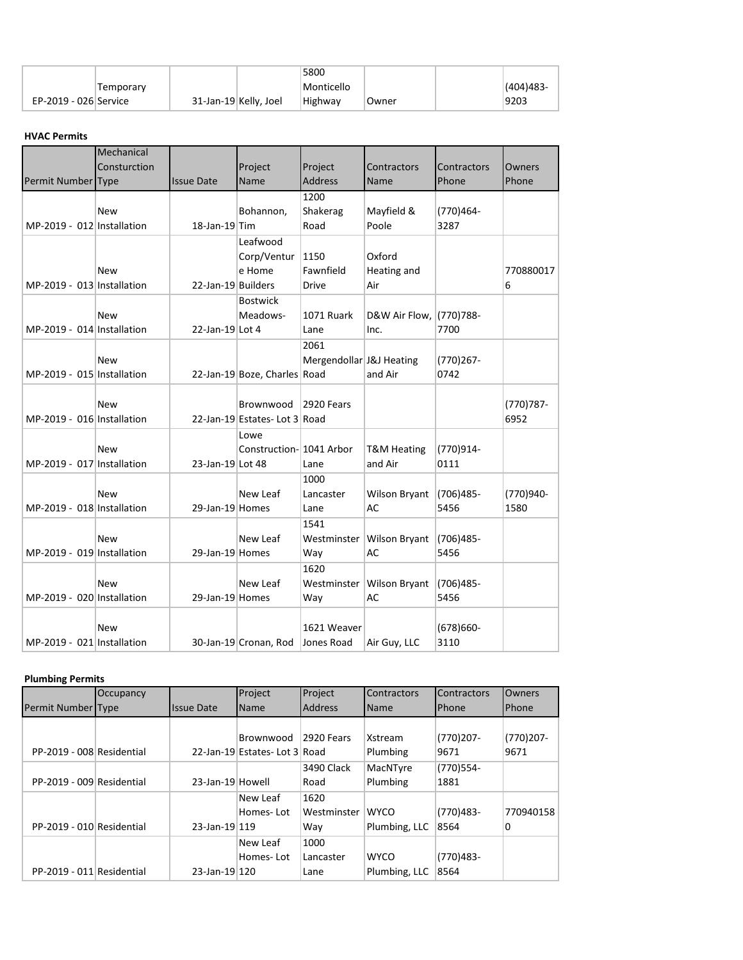|                       |           |                       | 5800       |        |             |
|-----------------------|-----------|-----------------------|------------|--------|-------------|
|                       | Temporarv |                       | Monticello |        | $(404)483-$ |
| EP-2019 - 026 Service |           | 31-Jan-19 Kelly, Joel | Highway    | ⊺Owner | 9203        |

## **HVAC Permits**

|                            | Mechanical   |                           |                              |                          |                           |              |              |
|----------------------------|--------------|---------------------------|------------------------------|--------------------------|---------------------------|--------------|--------------|
|                            | Consturction |                           | Project                      | Project                  | Contractors               | Contractors  | Owners       |
| Permit Number Type         |              | <b>Issue Date</b>         | Name                         | Address                  | Name                      | Phone        | Phone        |
|                            |              |                           |                              | 1200                     |                           |              |              |
|                            | <b>New</b>   |                           | Bohannon,                    | Shakerag                 | Mayfield &                | (770)464-    |              |
| MP-2019 - 012 Installation |              | $18$ -Jan-19 $\text{Tim}$ |                              | Road                     | Poole                     | 3287         |              |
|                            |              |                           | Leafwood                     |                          |                           |              |              |
|                            |              |                           | Corp/Ventur   1150           |                          | Oxford                    |              |              |
|                            | New          |                           | e Home                       | Fawnfield                | Heating and               |              | 770880017    |
| MP-2019 - 013 Installation |              | 22-Jan-19 Builders        |                              | Drive                    | Air                       |              | 6            |
|                            |              |                           | <b>Bostwick</b>              |                          |                           |              |              |
|                            | New          |                           | Meadows-                     | 1071 Ruark               | D&W Air Flow, (770)788-   |              |              |
| MP-2019 - 014 Installation |              | 22-Jan-19 Lot 4           |                              | Lane                     | Inc.                      | 7700         |              |
|                            |              |                           |                              | 2061                     |                           |              |              |
|                            | <b>New</b>   |                           |                              | Mergendollar J&J Heating |                           | $(770)267 -$ |              |
| MP-2019 - 015 Installation |              |                           | 22-Jan-19 Boze, Charles Road |                          | and Air                   | 0742         |              |
|                            |              |                           |                              |                          |                           |              |              |
|                            | <b>New</b>   |                           | Brownwood                    | 2920 Fears               |                           |              | $(770)787 -$ |
| MP-2019 - 016 Installation |              |                           | 22-Jan-19 Estates-Lot 3 Road |                          |                           |              | 6952         |
|                            |              |                           | Lowe                         |                          |                           |              |              |
|                            | <b>New</b>   |                           | Construction-1041 Arbor      |                          | <b>T&amp;M Heating</b>    | (770)914-    |              |
| MP-2019 - 017 Installation |              | 23-Jan-19 Lot 48          |                              | Lane                     | and Air                   | 0111         |              |
|                            |              |                           |                              | 1000                     |                           |              |              |
|                            | <b>New</b>   |                           | New Leaf                     | Lancaster                | Wilson Bryant             | (706)485-    | (770)940-    |
| MP-2019 - 018 Installation |              | 29-Jan-19 Homes           |                              | Lane                     | AC                        | 5456         | 1580         |
|                            |              |                           |                              | 1541                     |                           |              |              |
|                            | New          |                           | New Leaf                     | Westminster              | <b>Wilson Bryant</b>      | $(706)485 -$ |              |
| MP-2019 - 019 Installation |              | 29-Jan-19 Homes           |                              | Way                      | <b>AC</b>                 | 5456         |              |
|                            |              |                           |                              | 1620                     |                           |              |              |
|                            | <b>New</b>   |                           | New Leaf                     |                          | Westminster Wilson Bryant | (706)485-    |              |
| MP-2019 - 020 Installation |              | 29-Jan-19 Homes           |                              | Way                      | <b>AC</b>                 | 5456         |              |
|                            |              |                           |                              |                          |                           |              |              |
|                            | <b>New</b>   |                           |                              | 1621 Weaver              |                           | $(678)660-$  |              |
| MP-2019 - 021 Installation |              |                           | 30-Jan-19 Cronan, Rod        | Jones Road               | Air Guy, LLC              | 3110         |              |

# **Plumbing Permits**

|                           | Occupancy |                   | Project                       | Project        | <b>Contractors</b> | <b>Contractors</b> | <b>Owners</b> |
|---------------------------|-----------|-------------------|-------------------------------|----------------|--------------------|--------------------|---------------|
| Permit Number Type        |           | <b>Issue Date</b> | Name                          | <b>Address</b> | <b>Name</b>        | <b>IPhone</b>      | Phone         |
|                           |           |                   |                               |                |                    |                    |               |
|                           |           |                   | Brownwood                     | 2920 Fears     | Xstream            | $(770)207 -$       | $(770)207 -$  |
| PP-2019 - 008 Residential |           |                   | 22-Jan-19 Estates- Lot 3 Road |                | Plumbing           | 9671               | 9671          |
|                           |           |                   |                               | 3490 Clack     | MacNTyre           | (770)554-          |               |
| PP-2019 - 009 Residential |           | 23-Jan-19 Howell  |                               | Road           | Plumbing           | 1881               |               |
|                           |           |                   | New Leaf                      | 1620           |                    |                    |               |
|                           |           |                   | Homes-Lot                     | Westminster    | <b>WYCO</b>        | $(770)483 -$       | 770940158     |
| PP-2019 - 010 Residential |           | 23-Jan-19 119     |                               | Way            | Plumbing, LLC      | 8564               | 0             |
|                           |           |                   | New Leaf                      | 1000           |                    |                    |               |
|                           |           |                   | Homes-Lot                     | Lancaster      | <b>WYCO</b>        | $(770)483 -$       |               |
| PP-2019 - 011 Residential |           | 23-Jan-19 120     |                               | Lane           | Plumbing, LLC      | 8564               |               |